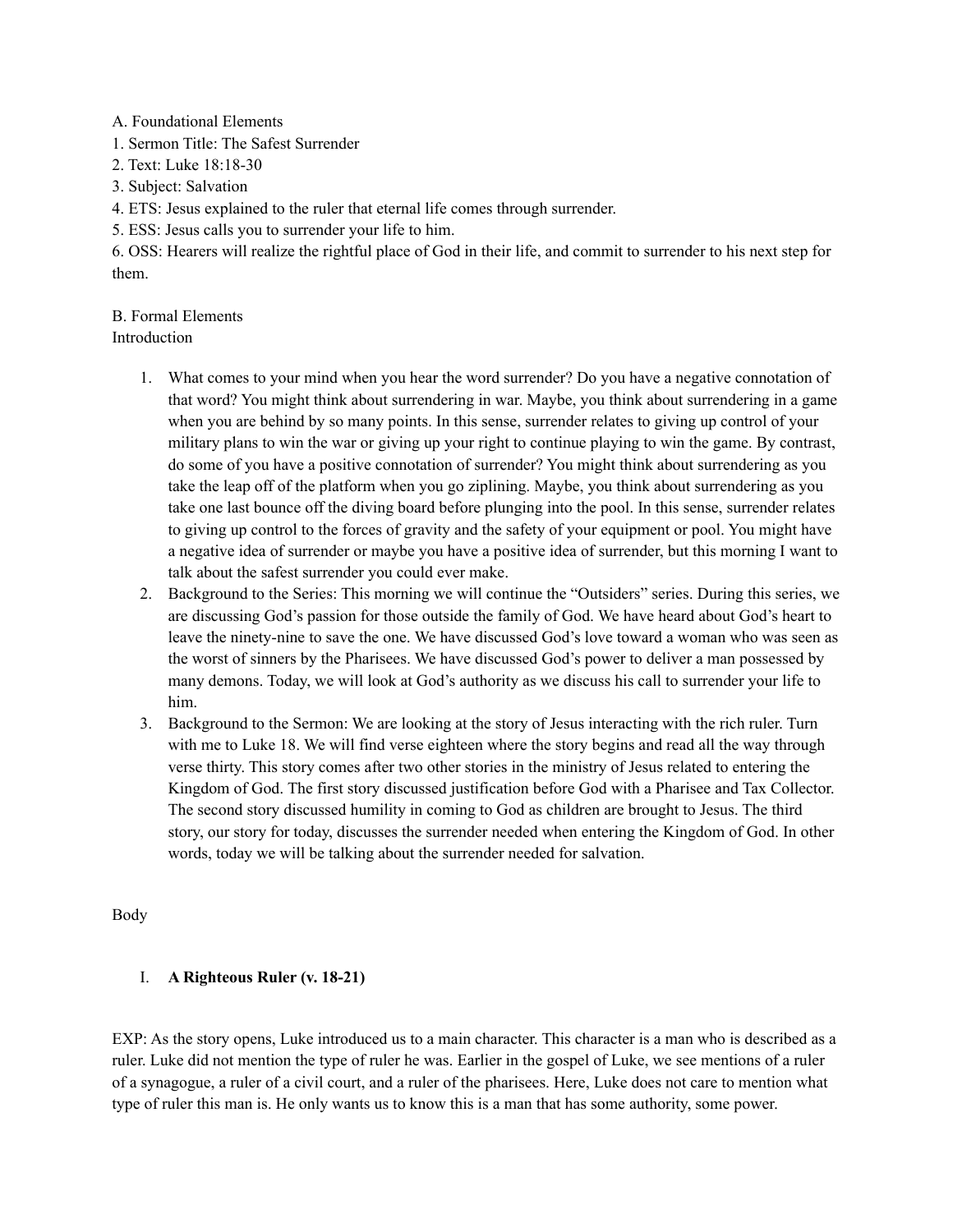A. Foundational Elements

- 1. Sermon Title: The Safest Surrender
- 2. Text: Luke 18:18-30
- 3. Subject: Salvation
- 4. ETS: Jesus explained to the ruler that eternal life comes through surrender.
- 5. ESS: Jesus calls you to surrender your life to him.

6. OSS: Hearers will realize the rightful place of God in their life, and commit to surrender to his next step for them.

B. Formal Elements Introduction

- 1. What comes to your mind when you hear the word surrender? Do you have a negative connotation of that word? You might think about surrendering in war. Maybe, you think about surrendering in a game when you are behind by so many points. In this sense, surrender relates to giving up control of your military plans to win the war or giving up your right to continue playing to win the game. By contrast, do some of you have a positive connotation of surrender? You might think about surrendering as you take the leap off of the platform when you go ziplining. Maybe, you think about surrendering as you take one last bounce off the diving board before plunging into the pool. In this sense, surrender relates to giving up control to the forces of gravity and the safety of your equipment or pool. You might have a negative idea of surrender or maybe you have a positive idea of surrender, but this morning I want to talk about the safest surrender you could ever make.
- 2. Background to the Series: This morning we will continue the "Outsiders" series. During this series, we are discussing God's passion for those outside the family of God. We have heard about God's heart to leave the ninety-nine to save the one. We have discussed God's love toward a woman who was seen as the worst of sinners by the Pharisees. We have discussed God's power to deliver a man possessed by many demons. Today, we will look at God's authority as we discuss his call to surrender your life to him.
- 3. Background to the Sermon: We are looking at the story of Jesus interacting with the rich ruler. Turn with me to Luke 18. We will find verse eighteen where the story begins and read all the way through verse thirty. This story comes after two other stories in the ministry of Jesus related to entering the Kingdom of God. The first story discussed justification before God with a Pharisee and Tax Collector. The second story discussed humility in coming to God as children are brought to Jesus. The third story, our story for today, discusses the surrender needed when entering the Kingdom of God. In other words, today we will be talking about the surrender needed for salvation.

Body

## I. **A Righteous Ruler (v. 18-21)**

EXP: As the story opens, Luke introduced us to a main character. This character is a man who is described as a ruler. Luke did not mention the type of ruler he was. Earlier in the gospel of Luke, we see mentions of a ruler of a synagogue, a ruler of a civil court, and a ruler of the pharisees. Here, Luke does not care to mention what type of ruler this man is. He only wants us to know this is a man that has some authority, some power.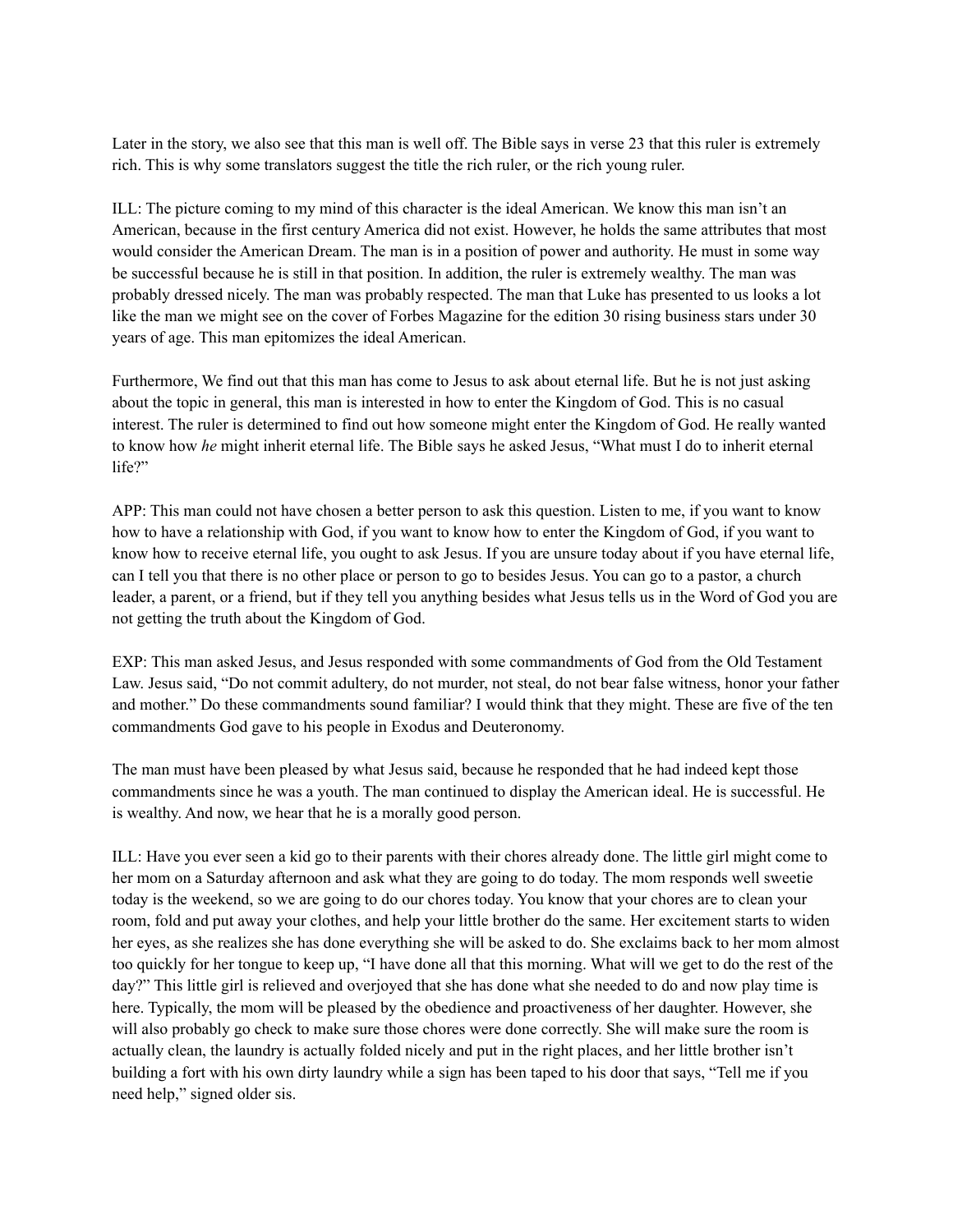Later in the story, we also see that this man is well off. The Bible says in verse 23 that this ruler is extremely rich. This is why some translators suggest the title the rich ruler, or the rich young ruler.

ILL: The picture coming to my mind of this character is the ideal American. We know this man isn't an American, because in the first century America did not exist. However, he holds the same attributes that most would consider the American Dream. The man is in a position of power and authority. He must in some way be successful because he is still in that position. In addition, the ruler is extremely wealthy. The man was probably dressed nicely. The man was probably respected. The man that Luke has presented to us looks a lot like the man we might see on the cover of Forbes Magazine for the edition 30 rising business stars under 30 years of age. This man epitomizes the ideal American.

Furthermore, We find out that this man has come to Jesus to ask about eternal life. But he is not just asking about the topic in general, this man is interested in how to enter the Kingdom of God. This is no casual interest. The ruler is determined to find out how someone might enter the Kingdom of God. He really wanted to know how *he* might inherit eternal life. The Bible says he asked Jesus, "What must I do to inherit eternal life?"

APP: This man could not have chosen a better person to ask this question. Listen to me, if you want to know how to have a relationship with God, if you want to know how to enter the Kingdom of God, if you want to know how to receive eternal life, you ought to ask Jesus. If you are unsure today about if you have eternal life, can I tell you that there is no other place or person to go to besides Jesus. You can go to a pastor, a church leader, a parent, or a friend, but if they tell you anything besides what Jesus tells us in the Word of God you are not getting the truth about the Kingdom of God.

EXP: This man asked Jesus, and Jesus responded with some commandments of God from the Old Testament Law. Jesus said, "Do not commit adultery, do not murder, not steal, do not bear false witness, honor your father and mother." Do these commandments sound familiar? I would think that they might. These are five of the ten commandments God gave to his people in Exodus and Deuteronomy.

The man must have been pleased by what Jesus said, because he responded that he had indeed kept those commandments since he was a youth. The man continued to display the American ideal. He is successful. He is wealthy. And now, we hear that he is a morally good person.

ILL: Have you ever seen a kid go to their parents with their chores already done. The little girl might come to her mom on a Saturday afternoon and ask what they are going to do today. The mom responds well sweetie today is the weekend, so we are going to do our chores today. You know that your chores are to clean your room, fold and put away your clothes, and help your little brother do the same. Her excitement starts to widen her eyes, as she realizes she has done everything she will be asked to do. She exclaims back to her mom almost too quickly for her tongue to keep up, "I have done all that this morning. What will we get to do the rest of the day?" This little girl is relieved and overjoyed that she has done what she needed to do and now play time is here. Typically, the mom will be pleased by the obedience and proactiveness of her daughter. However, she will also probably go check to make sure those chores were done correctly. She will make sure the room is actually clean, the laundry is actually folded nicely and put in the right places, and her little brother isn't building a fort with his own dirty laundry while a sign has been taped to his door that says, "Tell me if you need help," signed older sis.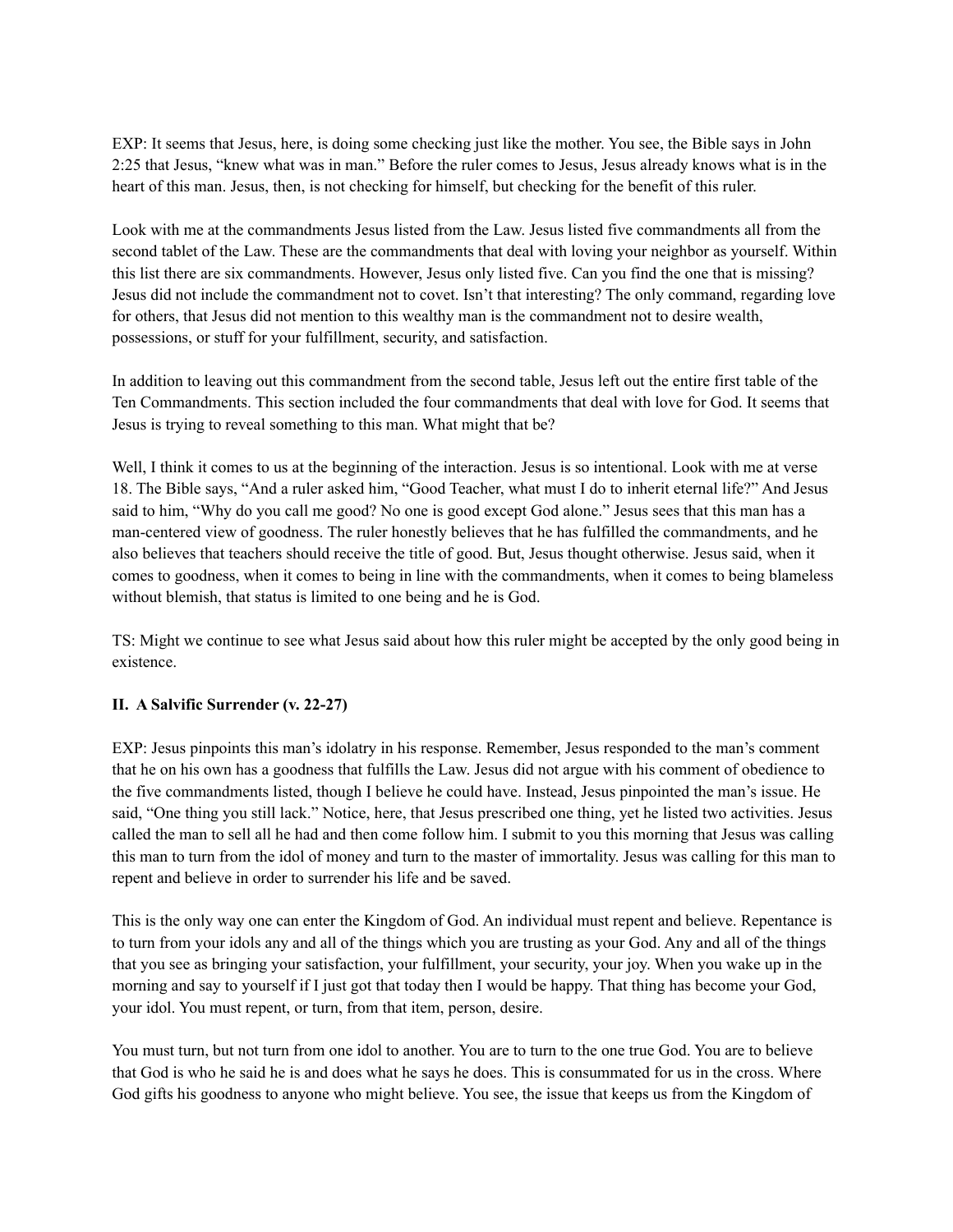EXP: It seems that Jesus, here, is doing some checking just like the mother. You see, the Bible says in John 2:25 that Jesus, "knew what was in man." Before the ruler comes to Jesus, Jesus already knows what is in the heart of this man. Jesus, then, is not checking for himself, but checking for the benefit of this ruler.

Look with me at the commandments Jesus listed from the Law. Jesus listed five commandments all from the second tablet of the Law. These are the commandments that deal with loving your neighbor as yourself. Within this list there are six commandments. However, Jesus only listed five. Can you find the one that is missing? Jesus did not include the commandment not to covet. Isn't that interesting? The only command, regarding love for others, that Jesus did not mention to this wealthy man is the commandment not to desire wealth, possessions, or stuff for your fulfillment, security, and satisfaction.

In addition to leaving out this commandment from the second table, Jesus left out the entire first table of the Ten Commandments. This section included the four commandments that deal with love for God. It seems that Jesus is trying to reveal something to this man. What might that be?

Well, I think it comes to us at the beginning of the interaction. Jesus is so intentional. Look with me at verse 18. The Bible says, "And a ruler asked him, "Good Teacher, what must I do to inherit eternal life?" And Jesus said to him, "Why do you call me good? No one is good except God alone." Jesus sees that this man has a man-centered view of goodness. The ruler honestly believes that he has fulfilled the commandments, and he also believes that teachers should receive the title of good. But, Jesus thought otherwise. Jesus said, when it comes to goodness, when it comes to being in line with the commandments, when it comes to being blameless without blemish, that status is limited to one being and he is God.

TS: Might we continue to see what Jesus said about how this ruler might be accepted by the only good being in existence.

## **II. A Salvific Surrender (v. 22-27)**

EXP: Jesus pinpoints this man's idolatry in his response. Remember, Jesus responded to the man's comment that he on his own has a goodness that fulfills the Law. Jesus did not argue with his comment of obedience to the five commandments listed, though I believe he could have. Instead, Jesus pinpointed the man's issue. He said, "One thing you still lack." Notice, here, that Jesus prescribed one thing, yet he listed two activities. Jesus called the man to sell all he had and then come follow him. I submit to you this morning that Jesus was calling this man to turn from the idol of money and turn to the master of immortality. Jesus was calling for this man to repent and believe in order to surrender his life and be saved.

This is the only way one can enter the Kingdom of God. An individual must repent and believe. Repentance is to turn from your idols any and all of the things which you are trusting as your God. Any and all of the things that you see as bringing your satisfaction, your fulfillment, your security, your joy. When you wake up in the morning and say to yourself if I just got that today then I would be happy. That thing has become your God, your idol. You must repent, or turn, from that item, person, desire.

You must turn, but not turn from one idol to another. You are to turn to the one true God. You are to believe that God is who he said he is and does what he says he does. This is consummated for us in the cross. Where God gifts his goodness to anyone who might believe. You see, the issue that keeps us from the Kingdom of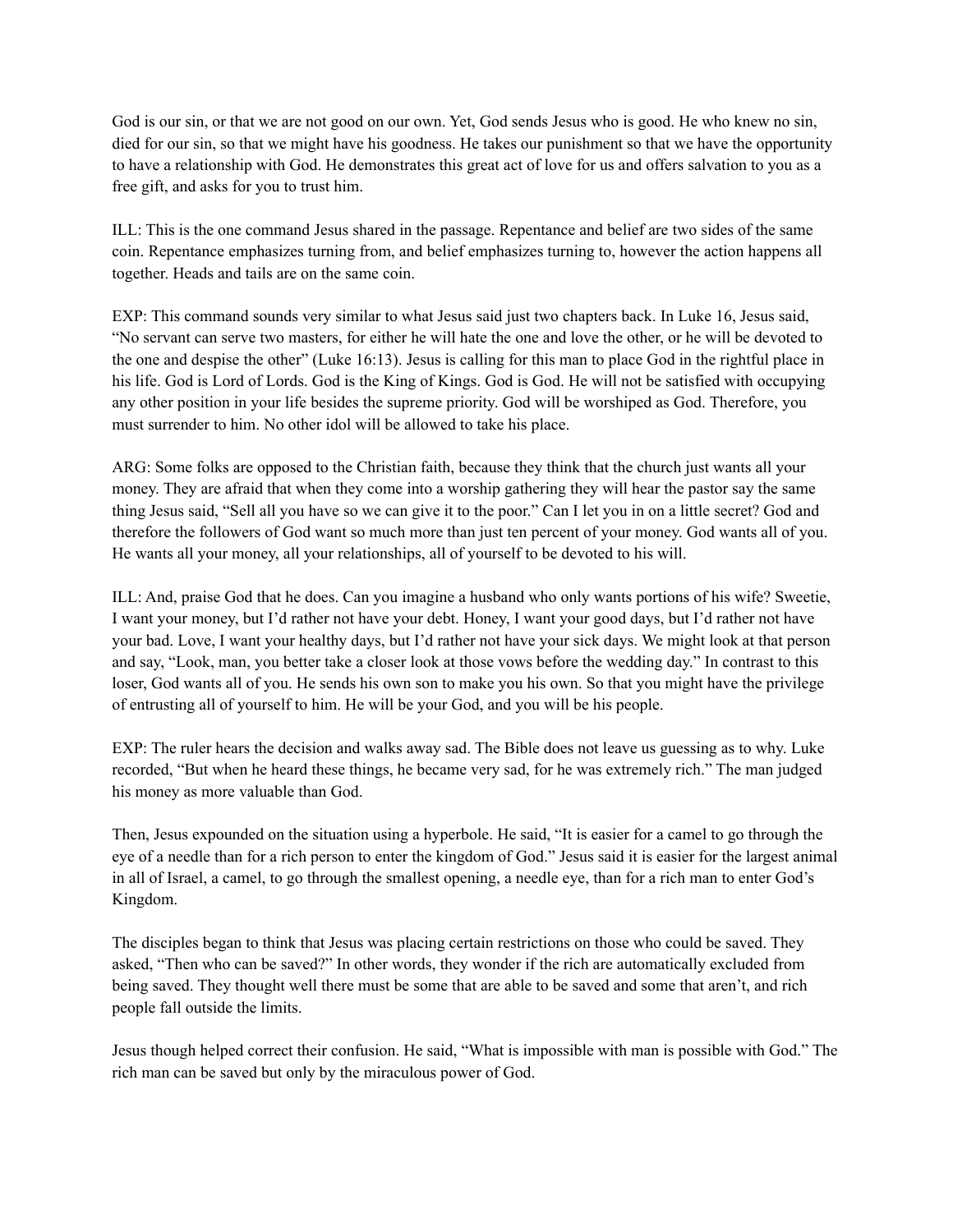God is our sin, or that we are not good on our own. Yet, God sends Jesus who is good. He who knew no sin, died for our sin, so that we might have his goodness. He takes our punishment so that we have the opportunity to have a relationship with God. He demonstrates this great act of love for us and offers salvation to you as a free gift, and asks for you to trust him.

ILL: This is the one command Jesus shared in the passage. Repentance and belief are two sides of the same coin. Repentance emphasizes turning from, and belief emphasizes turning to, however the action happens all together. Heads and tails are on the same coin.

EXP: This command sounds very similar to what Jesus said just two chapters back. In Luke 16, Jesus said, "No servant can serve two masters, for either he will hate the one and love the other, or he will be devoted to the one and despise the other" (Luke 16:13). Jesus is calling for this man to place God in the rightful place in his life. God is Lord of Lords. God is the King of Kings. God is God. He will not be satisfied with occupying any other position in your life besides the supreme priority. God will be worshiped as God. Therefore, you must surrender to him. No other idol will be allowed to take his place.

ARG: Some folks are opposed to the Christian faith, because they think that the church just wants all your money. They are afraid that when they come into a worship gathering they will hear the pastor say the same thing Jesus said, "Sell all you have so we can give it to the poor." Can I let you in on a little secret? God and therefore the followers of God want so much more than just ten percent of your money. God wants all of you. He wants all your money, all your relationships, all of yourself to be devoted to his will.

ILL: And, praise God that he does. Can you imagine a husband who only wants portions of his wife? Sweetie, I want your money, but I'd rather not have your debt. Honey, I want your good days, but I'd rather not have your bad. Love, I want your healthy days, but I'd rather not have your sick days. We might look at that person and say, "Look, man, you better take a closer look at those vows before the wedding day." In contrast to this loser, God wants all of you. He sends his own son to make you his own. So that you might have the privilege of entrusting all of yourself to him. He will be your God, and you will be his people.

EXP: The ruler hears the decision and walks away sad. The Bible does not leave us guessing as to why. Luke recorded, "But when he heard these things, he became very sad, for he was extremely rich." The man judged his money as more valuable than God.

Then, Jesus expounded on the situation using a hyperbole. He said, "It is easier for a camel to go through the eye of a needle than for a rich person to enter the kingdom of God." Jesus said it is easier for the largest animal in all of Israel, a camel, to go through the smallest opening, a needle eye, than for a rich man to enter God's Kingdom.

The disciples began to think that Jesus was placing certain restrictions on those who could be saved. They asked, "Then who can be saved?" In other words, they wonder if the rich are automatically excluded from being saved. They thought well there must be some that are able to be saved and some that aren't, and rich people fall outside the limits.

Jesus though helped correct their confusion. He said, "What is impossible with man is possible with God." The rich man can be saved but only by the miraculous power of God.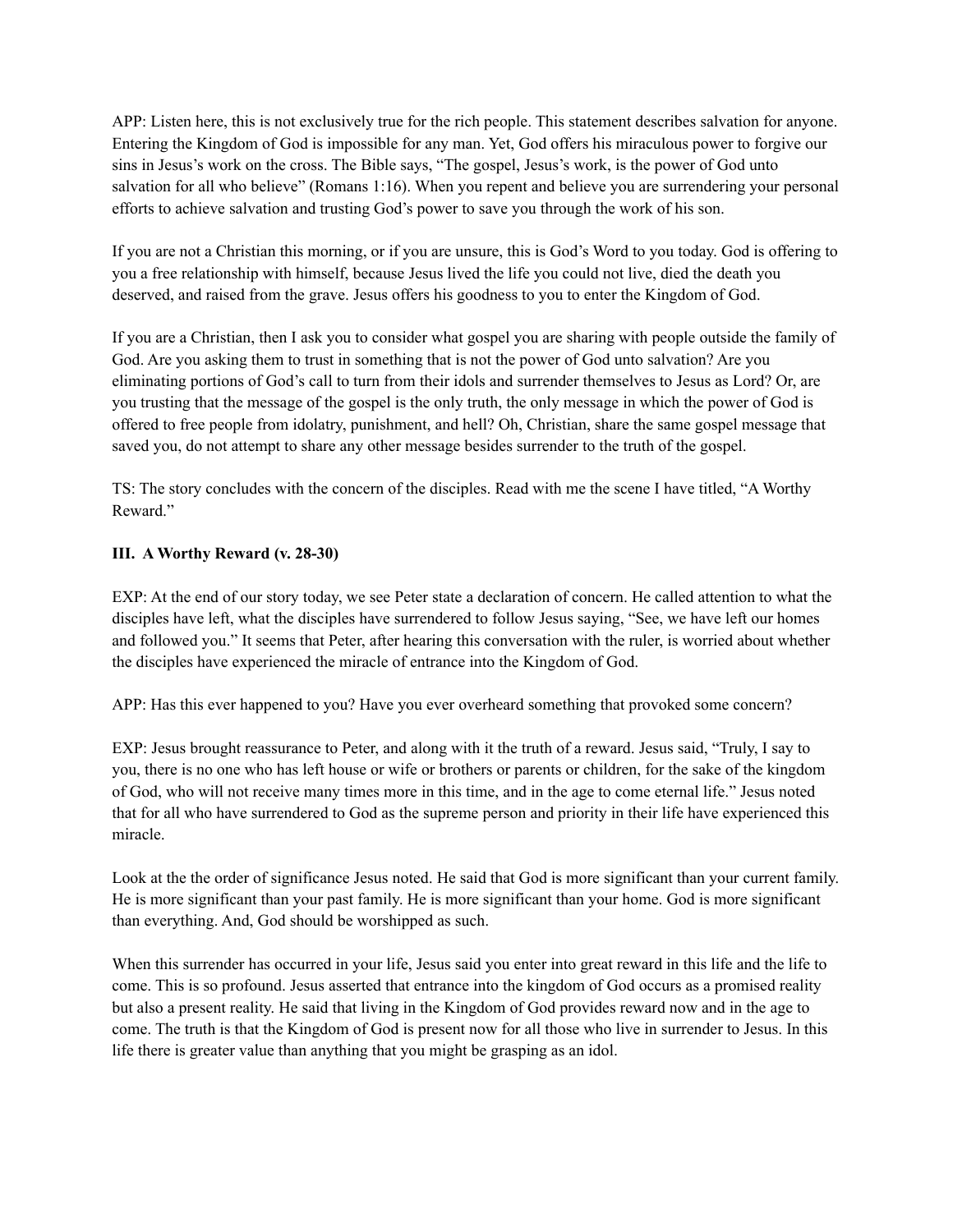APP: Listen here, this is not exclusively true for the rich people. This statement describes salvation for anyone. Entering the Kingdom of God is impossible for any man. Yet, God offers his miraculous power to forgive our sins in Jesus's work on the cross. The Bible says, "The gospel, Jesus's work, is the power of God unto salvation for all who believe" (Romans 1:16). When you repent and believe you are surrendering your personal efforts to achieve salvation and trusting God's power to save you through the work of his son.

If you are not a Christian this morning, or if you are unsure, this is God's Word to you today. God is offering to you a free relationship with himself, because Jesus lived the life you could not live, died the death you deserved, and raised from the grave. Jesus offers his goodness to you to enter the Kingdom of God.

If you are a Christian, then I ask you to consider what gospel you are sharing with people outside the family of God. Are you asking them to trust in something that is not the power of God unto salvation? Are you eliminating portions of God's call to turn from their idols and surrender themselves to Jesus as Lord? Or, are you trusting that the message of the gospel is the only truth, the only message in which the power of God is offered to free people from idolatry, punishment, and hell? Oh, Christian, share the same gospel message that saved you, do not attempt to share any other message besides surrender to the truth of the gospel.

TS: The story concludes with the concern of the disciples. Read with me the scene I have titled, "A Worthy Reward."

## **III. A Worthy Reward (v. 28-30)**

EXP: At the end of our story today, we see Peter state a declaration of concern. He called attention to what the disciples have left, what the disciples have surrendered to follow Jesus saying, "See, we have left our homes and followed you." It seems that Peter, after hearing this conversation with the ruler, is worried about whether the disciples have experienced the miracle of entrance into the Kingdom of God.

APP: Has this ever happened to you? Have you ever overheard something that provoked some concern?

EXP: Jesus brought reassurance to Peter, and along with it the truth of a reward. Jesus said, "Truly, I say to you, there is no one who has left house or wife or brothers or parents or children, for the sake of the kingdom of God, who will not receive many times more in this time, and in the age to come eternal life." Jesus noted that for all who have surrendered to God as the supreme person and priority in their life have experienced this miracle.

Look at the the order of significance Jesus noted. He said that God is more significant than your current family. He is more significant than your past family. He is more significant than your home. God is more significant than everything. And, God should be worshipped as such.

When this surrender has occurred in your life, Jesus said you enter into great reward in this life and the life to come. This is so profound. Jesus asserted that entrance into the kingdom of God occurs as a promised reality but also a present reality. He said that living in the Kingdom of God provides reward now and in the age to come. The truth is that the Kingdom of God is present now for all those who live in surrender to Jesus. In this life there is greater value than anything that you might be grasping as an idol.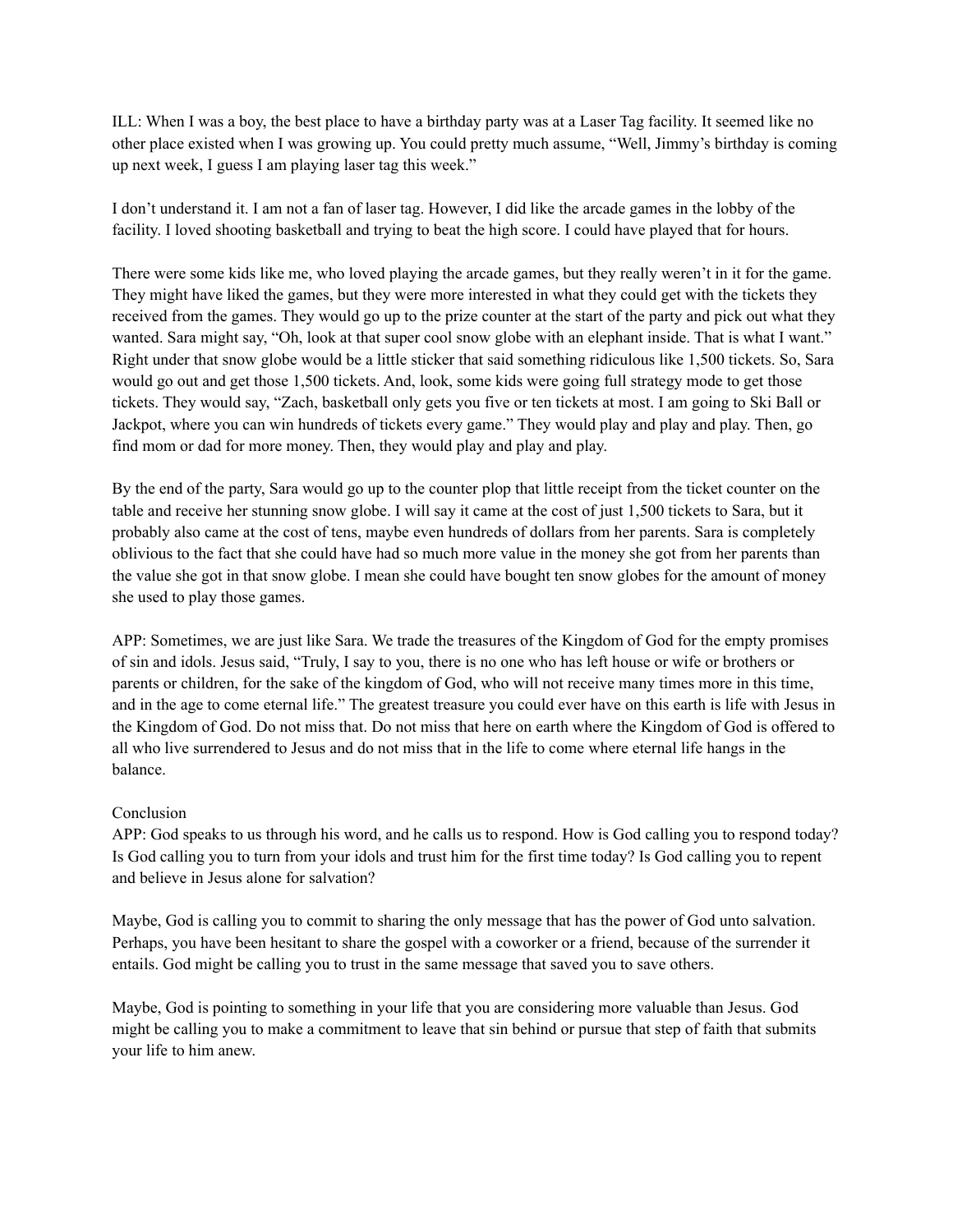ILL: When I was a boy, the best place to have a birthday party was at a Laser Tag facility. It seemed like no other place existed when I was growing up. You could pretty much assume, "Well, Jimmy's birthday is coming up next week, I guess I am playing laser tag this week."

I don't understand it. I am not a fan of laser tag. However, I did like the arcade games in the lobby of the facility. I loved shooting basketball and trying to beat the high score. I could have played that for hours.

There were some kids like me, who loved playing the arcade games, but they really weren't in it for the game. They might have liked the games, but they were more interested in what they could get with the tickets they received from the games. They would go up to the prize counter at the start of the party and pick out what they wanted. Sara might say, "Oh, look at that super cool snow globe with an elephant inside. That is what I want." Right under that snow globe would be a little sticker that said something ridiculous like 1,500 tickets. So, Sara would go out and get those 1,500 tickets. And, look, some kids were going full strategy mode to get those tickets. They would say, "Zach, basketball only gets you five or ten tickets at most. I am going to Ski Ball or Jackpot, where you can win hundreds of tickets every game." They would play and play and play. Then, go find mom or dad for more money. Then, they would play and play and play.

By the end of the party, Sara would go up to the counter plop that little receipt from the ticket counter on the table and receive her stunning snow globe. I will say it came at the cost of just 1,500 tickets to Sara, but it probably also came at the cost of tens, maybe even hundreds of dollars from her parents. Sara is completely oblivious to the fact that she could have had so much more value in the money she got from her parents than the value she got in that snow globe. I mean she could have bought ten snow globes for the amount of money she used to play those games.

APP: Sometimes, we are just like Sara. We trade the treasures of the Kingdom of God for the empty promises of sin and idols. Jesus said, "Truly, I say to you, there is no one who has left house or wife or brothers or parents or children, for the sake of the kingdom of God, who will not receive many times more in this time, and in the age to come eternal life." The greatest treasure you could ever have on this earth is life with Jesus in the Kingdom of God. Do not miss that. Do not miss that here on earth where the Kingdom of God is offered to all who live surrendered to Jesus and do not miss that in the life to come where eternal life hangs in the balance.

## Conclusion

APP: God speaks to us through his word, and he calls us to respond. How is God calling you to respond today? Is God calling you to turn from your idols and trust him for the first time today? Is God calling you to repent and believe in Jesus alone for salvation?

Maybe, God is calling you to commit to sharing the only message that has the power of God unto salvation. Perhaps, you have been hesitant to share the gospel with a coworker or a friend, because of the surrender it entails. God might be calling you to trust in the same message that saved you to save others.

Maybe, God is pointing to something in your life that you are considering more valuable than Jesus. God might be calling you to make a commitment to leave that sin behind or pursue that step of faith that submits your life to him anew.